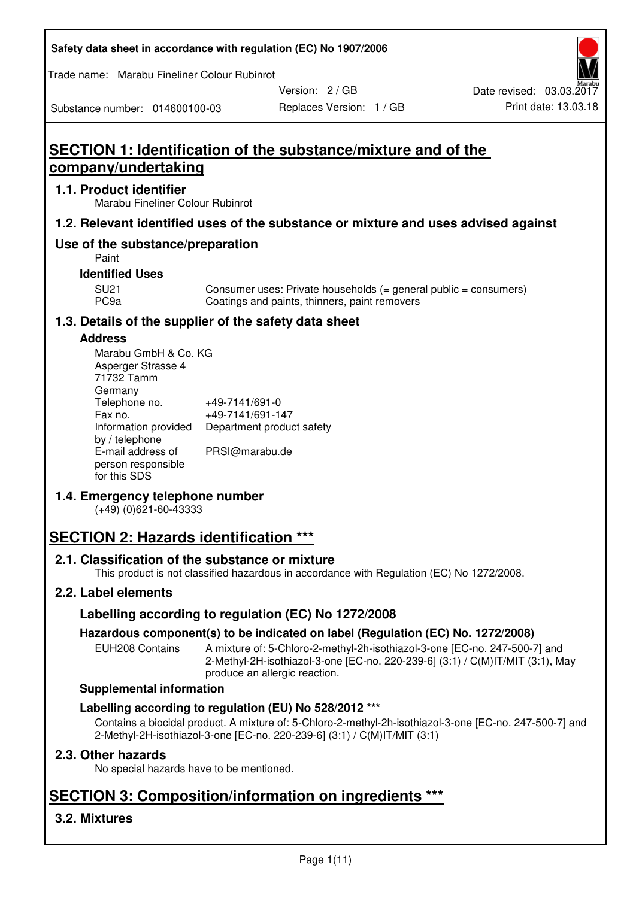| Safety data sheet in accordance with regulation (EC) No 1907/2006 |  |
|-------------------------------------------------------------------|--|
|-------------------------------------------------------------------|--|

Trade name: Marabu Fineliner Colour Rubinrot

Version: 2 / GB

Replaces Version: 1 / GB Print date: 13.03.18 Date revised: 03.03.2017

Substance number: 014600100-03

# **SECTION 1: Identification of the substance/mixture and of the company/undertaking**

## **1.1. Product identifier**

Marabu Fineliner Colour Rubinrot

# **1.2. Relevant identified uses of the substance or mixture and uses advised against**

# **Use of the substance/preparation**

Paint

### **Identified Uses**

SU21 Consumer uses: Private households (= general public = consumers)<br>PC9a Coatings and paints, thinners, paint removers Coatings and paints, thinners, paint removers

# **1.3. Details of the supplier of the safety data sheet**

### **Address**

| Marabu GmbH & Co. KG |                           |
|----------------------|---------------------------|
| Asperger Strasse 4   |                           |
| 71732 Tamm           |                           |
| Germany              |                           |
| Telephone no.        | +49-7141/691-0            |
| Fax no.              | +49-7141/691-147          |
| Information provided | Department product safety |
| by / telephone       |                           |
| E-mail address of    | PRSI@marabu.de            |
| person responsible   |                           |
| for this SDS         |                           |

# **1.4. Emergency telephone number**

(+49) (0)621-60-43333

# **SECTION 2: Hazards identification \*\*\***

# **2.1. Classification of the substance or mixture**

This product is not classified hazardous in accordance with Regulation (EC) No 1272/2008.

# **2.2. Label elements**

# **Labelling according to regulation (EC) No 1272/2008**

# **Hazardous component(s) to be indicated on label (Regulation (EC) No. 1272/2008)**

EUH208 Contains A mixture of: 5-Chloro-2-methyl-2h-isothiazol-3-one [EC-no. 247-500-7] and 2-Methyl-2H-isothiazol-3-one [EC-no. 220-239-6] (3:1) / C(M)IT/MIT (3:1), May produce an allergic reaction.

#### **Supplemental information**

# **Labelling according to regulation (EU) No 528/2012 \*\*\***

Contains a biocidal product. A mixture of: 5-Chloro-2-methyl-2h-isothiazol-3-one [EC-no. 247-500-7] and 2-Methyl-2H-isothiazol-3-one [EC-no. 220-239-6] (3:1) / C(M)IT/MIT (3:1)

# **2.3. Other hazards**

No special hazards have to be mentioned.

# **SECTION 3: Composition/information on ingredients \*\*\***

# **3.2. Mixtures**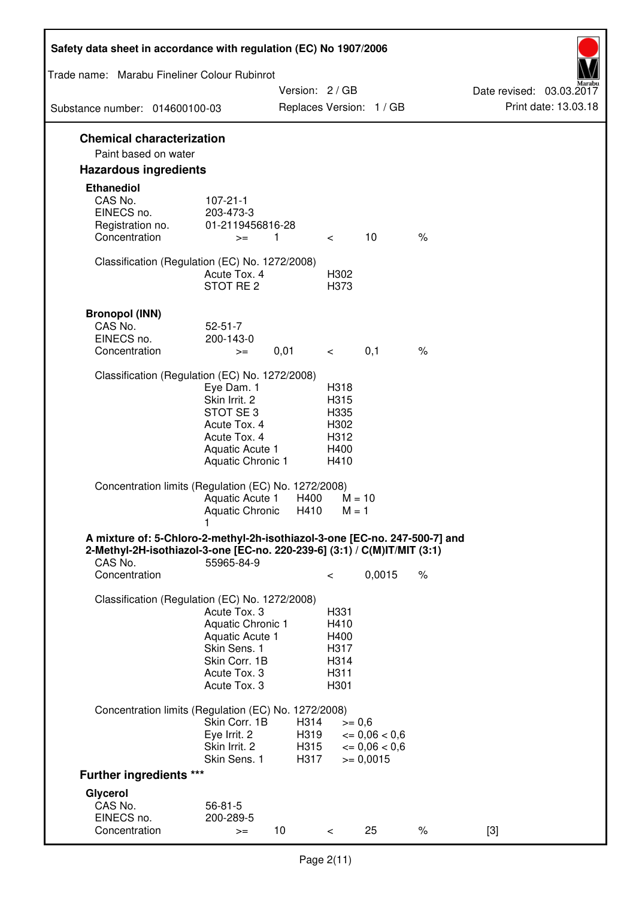| Safety data sheet in accordance with regulation (EC) No 1907/2006          |                                   |                 |              |                          |      |                                                  |
|----------------------------------------------------------------------------|-----------------------------------|-----------------|--------------|--------------------------|------|--------------------------------------------------|
| Trade name: Marabu Fineliner Colour Rubinrot                               |                                   |                 |              |                          |      |                                                  |
| Substance number: 014600100-03                                             |                                   | Version: 2 / GB |              | Replaces Version: 1 / GB |      | Date revised: 03.03.2017<br>Print date: 13.03.18 |
|                                                                            |                                   |                 |              |                          |      |                                                  |
| <b>Chemical characterization</b><br>Paint based on water                   |                                   |                 |              |                          |      |                                                  |
| <b>Hazardous ingredients</b>                                               |                                   |                 |              |                          |      |                                                  |
| <b>Ethanediol</b>                                                          |                                   |                 |              |                          |      |                                                  |
| CAS No.                                                                    | $107 - 21 - 1$                    |                 |              |                          |      |                                                  |
| EINECS no.<br>Registration no.                                             | 203-473-3<br>01-2119456816-28     |                 |              |                          |      |                                                  |
| Concentration                                                              | $>=$                              | $\mathbf{1}$    | $\lt$        | 10                       | $\%$ |                                                  |
|                                                                            |                                   |                 |              |                          |      |                                                  |
| Classification (Regulation (EC) No. 1272/2008)                             | Acute Tox. 4                      |                 | H302         |                          |      |                                                  |
|                                                                            | STOT RE <sub>2</sub>              |                 | H373         |                          |      |                                                  |
|                                                                            |                                   |                 |              |                          |      |                                                  |
| <b>Bronopol (INN)</b>                                                      |                                   |                 |              |                          |      |                                                  |
| CAS No.<br>EINECS no.                                                      | $52 - 51 - 7$<br>200-143-0        |                 |              |                          |      |                                                  |
| Concentration                                                              | $>=$                              | 0,01            | $\lt$ $\sim$ | 0,1                      | $\%$ |                                                  |
|                                                                            |                                   |                 |              |                          |      |                                                  |
| Classification (Regulation (EC) No. 1272/2008)                             | Eye Dam. 1                        |                 | H318         |                          |      |                                                  |
|                                                                            | Skin Irrit. 2                     |                 | H315         |                          |      |                                                  |
|                                                                            | STOT SE 3                         |                 | H335         |                          |      |                                                  |
|                                                                            | Acute Tox. 4<br>Acute Tox. 4      |                 | H302         |                          |      |                                                  |
|                                                                            | Aquatic Acute 1                   |                 | H312<br>H400 |                          |      |                                                  |
|                                                                            | Aquatic Chronic 1                 |                 | H410         |                          |      |                                                  |
| Concentration limits (Regulation (EC) No. 1272/2008)                       |                                   |                 |              |                          |      |                                                  |
|                                                                            | Aquatic Acute 1                   | H400            |              | $M = 10$                 |      |                                                  |
|                                                                            | <b>Aquatic Chronic</b>            | H410            | $M = 1$      |                          |      |                                                  |
| A mixture of: 5-Chloro-2-methyl-2h-isothiazol-3-one [EC-no. 247-500-7] and |                                   |                 |              |                          |      |                                                  |
| 2-Methyl-2H-isothiazol-3-one [EC-no. 220-239-6] (3:1) / C(M)IT/MIT (3:1)   |                                   |                 |              |                          |      |                                                  |
| CAS No.<br>Concentration                                                   | 55965-84-9                        |                 | $\,<\,$      | 0,0015                   | $\%$ |                                                  |
|                                                                            |                                   |                 |              |                          |      |                                                  |
| Classification (Regulation (EC) No. 1272/2008)                             |                                   |                 |              |                          |      |                                                  |
|                                                                            | Acute Tox. 3<br>Aquatic Chronic 1 |                 | H331<br>H410 |                          |      |                                                  |
|                                                                            | Aquatic Acute 1                   |                 | H400         |                          |      |                                                  |
|                                                                            | Skin Sens. 1                      |                 | H317         |                          |      |                                                  |
|                                                                            | Skin Corr. 1B<br>Acute Tox. 3     |                 | H314<br>H311 |                          |      |                                                  |
|                                                                            | Acute Tox. 3                      |                 | H301         |                          |      |                                                  |
|                                                                            |                                   |                 |              |                          |      |                                                  |
| Concentration limits (Regulation (EC) No. 1272/2008)                       | Skin Corr. 1B                     | H314            |              | $>= 0,6$                 |      |                                                  |
|                                                                            | Eye Irrit. 2                      | H319            |              | $\epsilon = 0.06 < 0.6$  |      |                                                  |
|                                                                            | Skin Irrit. 2<br>Skin Sens. 1     | H315<br>H317    |              | $= 0,06 < 0,6$           |      |                                                  |
| <b>Further ingredients ***</b>                                             |                                   |                 |              | $= 0,0015$               |      |                                                  |
|                                                                            |                                   |                 |              |                          |      |                                                  |
| Glycerol<br>CAS No.                                                        | $56 - 81 - 5$                     |                 |              |                          |      |                                                  |
| EINECS no.                                                                 | 200-289-5                         |                 |              |                          |      |                                                  |
| Concentration                                                              | $>=$                              | 10              | $\,<\,$      | 25                       | $\%$ | $[3]$                                            |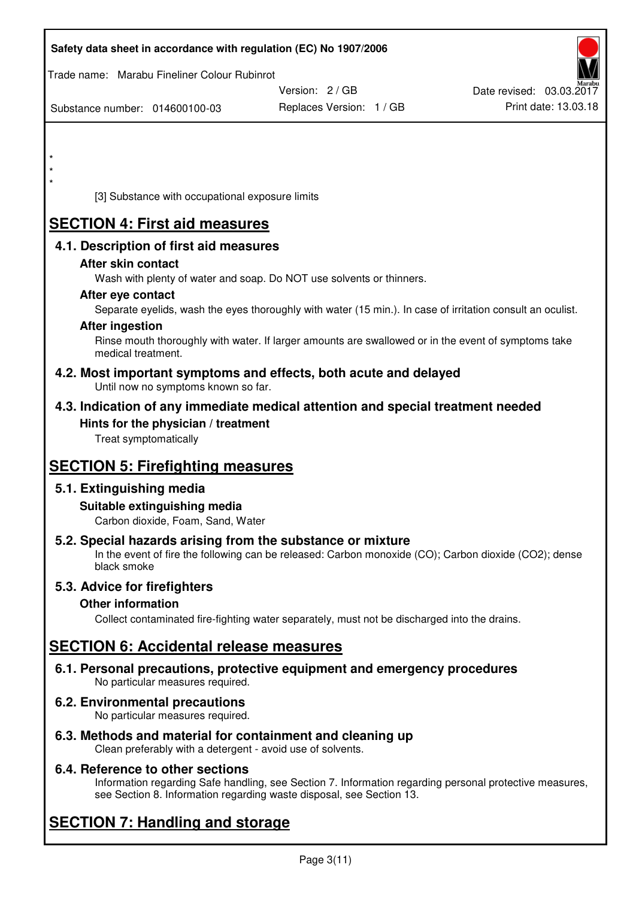| Safety data sheet in accordance with regulation (EC) No 1907/2006                                                       |                                                                                                            |                          |
|-------------------------------------------------------------------------------------------------------------------------|------------------------------------------------------------------------------------------------------------|--------------------------|
| Trade name: Marabu Fineliner Colour Rubinrot                                                                            |                                                                                                            |                          |
|                                                                                                                         | Version: 2/GB                                                                                              | Date revised: 03.03.2017 |
| Substance number: 014600100-03                                                                                          | Replaces Version: 1 / GB                                                                                   | Print date: 13.03.18     |
|                                                                                                                         |                                                                                                            |                          |
|                                                                                                                         |                                                                                                            |                          |
|                                                                                                                         |                                                                                                            |                          |
|                                                                                                                         |                                                                                                            |                          |
| [3] Substance with occupational exposure limits                                                                         |                                                                                                            |                          |
| <b>SECTION 4: First aid measures</b>                                                                                    |                                                                                                            |                          |
| 4.1. Description of first aid measures                                                                                  |                                                                                                            |                          |
| After skin contact                                                                                                      |                                                                                                            |                          |
|                                                                                                                         | Wash with plenty of water and soap. Do NOT use solvents or thinners.                                       |                          |
| After eye contact                                                                                                       |                                                                                                            |                          |
| <b>After ingestion</b>                                                                                                  | Separate eyelids, wash the eyes thoroughly with water (15 min.). In case of irritation consult an oculist. |                          |
| medical treatment.                                                                                                      | Rinse mouth thoroughly with water. If larger amounts are swallowed or in the event of symptoms take        |                          |
| Until now no symptoms known so far.                                                                                     | 4.2. Most important symptoms and effects, both acute and delayed                                           |                          |
|                                                                                                                         | 4.3. Indication of any immediate medical attention and special treatment needed                            |                          |
| Hints for the physician / treatment<br>Treat symptomatically                                                            |                                                                                                            |                          |
| <b>SECTION 5: Firefighting measures</b>                                                                                 |                                                                                                            |                          |
| 5.1. Extinguishing media                                                                                                |                                                                                                            |                          |
| Suitable extinguishing media<br>Carbon dioxide, Foam, Sand, Water                                                       |                                                                                                            |                          |
| 5.2. Special hazards arising from the substance or mixture<br>black smoke                                               | In the event of fire the following can be released: Carbon monoxide (CO); Carbon dioxide (CO2); dense      |                          |
| 5.3. Advice for firefighters                                                                                            |                                                                                                            |                          |
| <b>Other information</b>                                                                                                |                                                                                                            |                          |
|                                                                                                                         | Collect contaminated fire-fighting water separately, must not be discharged into the drains.               |                          |
| <b>SECTION 6: Accidental release measures</b>                                                                           |                                                                                                            |                          |
| No particular measures required.                                                                                        | 6.1. Personal precautions, protective equipment and emergency procedures                                   |                          |
| 6.2. Environmental precautions<br>No particular measures required.                                                      |                                                                                                            |                          |
| 6.3. Methods and material for containment and cleaning up<br>Clean preferably with a detergent - avoid use of solvents. |                                                                                                            |                          |

# **6.4. Reference to other sections**

Information regarding Safe handling, see Section 7. Information regarding personal protective measures, see Section 8. Information regarding waste disposal, see Section 13.

# **SECTION 7: Handling and storage**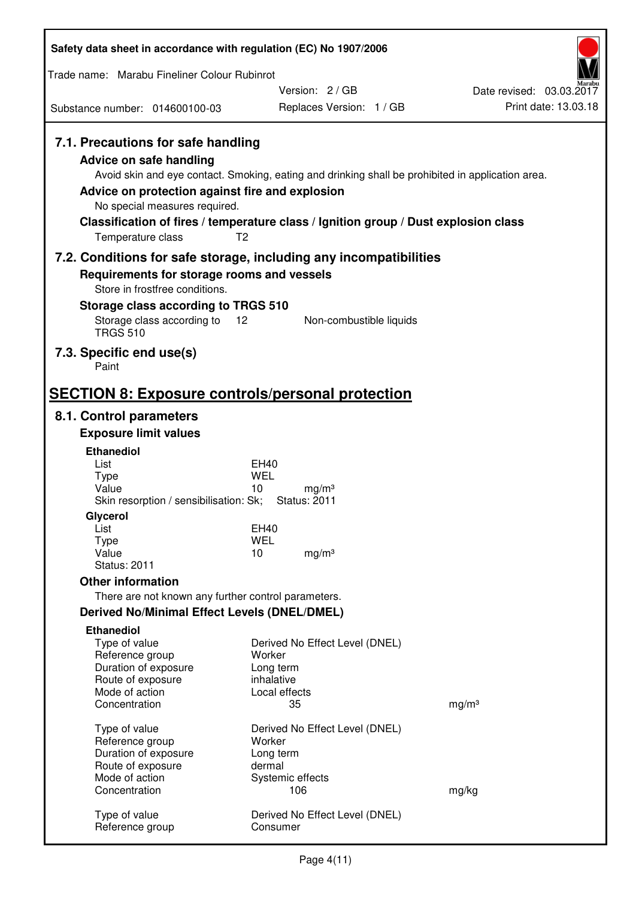| Safety data sheet in accordance with regulation (EC) No 1907/2006                                                                                                      |                                                                                                                                                                                                            |                                                  |
|------------------------------------------------------------------------------------------------------------------------------------------------------------------------|------------------------------------------------------------------------------------------------------------------------------------------------------------------------------------------------------------|--------------------------------------------------|
| Trade name: Marabu Fineliner Colour Rubinrot                                                                                                                           |                                                                                                                                                                                                            |                                                  |
| Substance number: 014600100-03                                                                                                                                         | Version: 2/GB<br>Replaces Version: 1 / GB                                                                                                                                                                  | Date revised: 03.03.2017<br>Print date: 13.03.18 |
| 7.1. Precautions for safe handling<br>Advice on safe handling<br>Advice on protection against fire and explosion<br>No special measures required.<br>Temperature class | Avoid skin and eye contact. Smoking, eating and drinking shall be prohibited in application area.<br>Classification of fires / temperature class / Ignition group / Dust explosion class<br>T <sub>2</sub> |                                                  |
| 7.2. Conditions for safe storage, including any incompatibilities                                                                                                      |                                                                                                                                                                                                            |                                                  |
| Requirements for storage rooms and vessels<br>Store in frostfree conditions.                                                                                           |                                                                                                                                                                                                            |                                                  |
| Storage class according to TRGS 510                                                                                                                                    |                                                                                                                                                                                                            |                                                  |
| Storage class according to<br><b>TRGS 510</b>                                                                                                                          | 12<br>Non-combustible liquids                                                                                                                                                                              |                                                  |
| 7.3. Specific end use(s)<br>Paint                                                                                                                                      |                                                                                                                                                                                                            |                                                  |
| <b>SECTION 8: Exposure controls/personal protection</b>                                                                                                                |                                                                                                                                                                                                            |                                                  |
| 8.1. Control parameters                                                                                                                                                |                                                                                                                                                                                                            |                                                  |
| <b>Exposure limit values</b>                                                                                                                                           |                                                                                                                                                                                                            |                                                  |
| <b>Ethanediol</b>                                                                                                                                                      |                                                                                                                                                                                                            |                                                  |
| List<br><b>Type</b>                                                                                                                                                    | EH40<br>WEL                                                                                                                                                                                                |                                                  |
| Value                                                                                                                                                                  | 10<br>mg/m <sup>3</sup>                                                                                                                                                                                    |                                                  |
| Skin resorption / sensibilisation: Sk;                                                                                                                                 | <b>Status: 2011</b>                                                                                                                                                                                        |                                                  |
| Glycerol                                                                                                                                                               |                                                                                                                                                                                                            |                                                  |
| List<br>Type                                                                                                                                                           | EH40<br><b>WEL</b>                                                                                                                                                                                         |                                                  |
| Value                                                                                                                                                                  | 10<br>mg/m <sup>3</sup>                                                                                                                                                                                    |                                                  |
| <b>Status: 2011</b>                                                                                                                                                    |                                                                                                                                                                                                            |                                                  |
| <b>Other information</b>                                                                                                                                               |                                                                                                                                                                                                            |                                                  |
| There are not known any further control parameters.                                                                                                                    |                                                                                                                                                                                                            |                                                  |
| <b>Derived No/Minimal Effect Levels (DNEL/DMEL)</b>                                                                                                                    |                                                                                                                                                                                                            |                                                  |
| <b>Ethanediol</b>                                                                                                                                                      |                                                                                                                                                                                                            |                                                  |
| Type of value<br>Reference group                                                                                                                                       | Derived No Effect Level (DNEL)<br>Worker                                                                                                                                                                   |                                                  |
| Duration of exposure                                                                                                                                                   | Long term                                                                                                                                                                                                  |                                                  |
| Route of exposure                                                                                                                                                      | inhalative                                                                                                                                                                                                 |                                                  |
| Mode of action<br>Concentration                                                                                                                                        | Local effects<br>35                                                                                                                                                                                        | mg/m <sup>3</sup>                                |
|                                                                                                                                                                        |                                                                                                                                                                                                            |                                                  |
| Type of value                                                                                                                                                          | Derived No Effect Level (DNEL)                                                                                                                                                                             |                                                  |
| Reference group<br>Duration of exposure                                                                                                                                | Worker<br>Long term                                                                                                                                                                                        |                                                  |
| Route of exposure                                                                                                                                                      | dermal                                                                                                                                                                                                     |                                                  |
| Mode of action                                                                                                                                                         | Systemic effects                                                                                                                                                                                           |                                                  |
| Concentration                                                                                                                                                          | 106                                                                                                                                                                                                        | mg/kg                                            |
| Type of value<br>Reference group                                                                                                                                       | Derived No Effect Level (DNEL)<br>Consumer                                                                                                                                                                 |                                                  |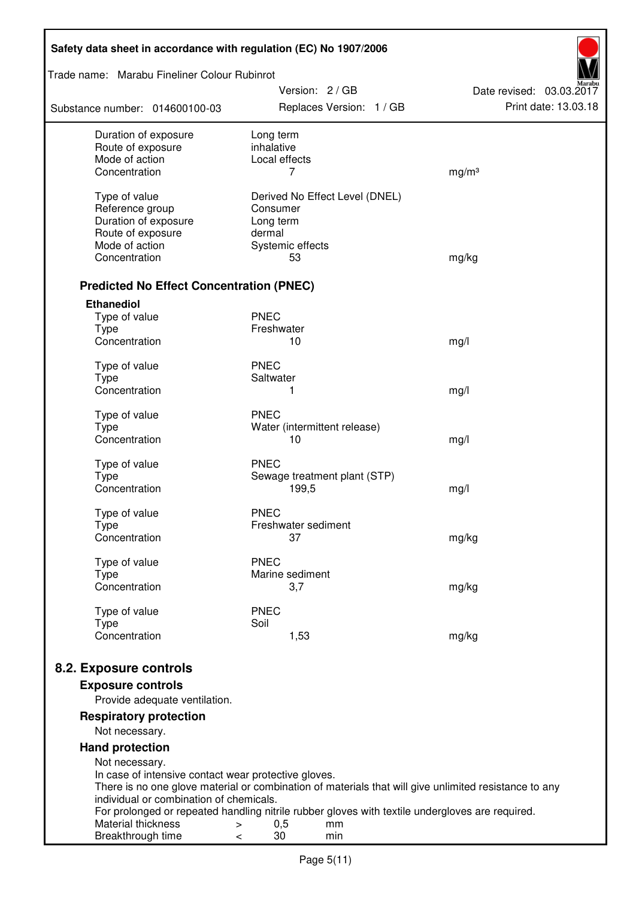| Safety data sheet in accordance with regulation (EC) No 1907/2006                                                                          |                                                                                                                                                                                                                                                   |                                                  |  |  |  |  |
|--------------------------------------------------------------------------------------------------------------------------------------------|---------------------------------------------------------------------------------------------------------------------------------------------------------------------------------------------------------------------------------------------------|--------------------------------------------------|--|--|--|--|
|                                                                                                                                            | Trade name: Marabu Fineliner Colour Rubinrot                                                                                                                                                                                                      |                                                  |  |  |  |  |
| Substance number: 014600100-03                                                                                                             | Version: 2 / GB<br>Replaces Version: 1 / GB                                                                                                                                                                                                       | Date revised: 03.03.2017<br>Print date: 13.03.18 |  |  |  |  |
| Duration of exposure<br>Route of exposure<br>Mode of action<br>Concentration                                                               | Long term<br>inhalative<br>Local effects<br>7                                                                                                                                                                                                     | mg/m <sup>3</sup>                                |  |  |  |  |
| Type of value<br>Reference group<br>Duration of exposure<br>Route of exposure<br>Mode of action<br>Concentration                           | Derived No Effect Level (DNEL)<br>Consumer<br>Long term<br>dermal<br>Systemic effects<br>53                                                                                                                                                       | mg/kg                                            |  |  |  |  |
| <b>Predicted No Effect Concentration (PNEC)</b>                                                                                            |                                                                                                                                                                                                                                                   |                                                  |  |  |  |  |
| <b>Ethanediol</b><br>Type of value<br><b>Type</b>                                                                                          | <b>PNEC</b><br>Freshwater                                                                                                                                                                                                                         |                                                  |  |  |  |  |
| Concentration<br>Type of value<br><b>Type</b>                                                                                              | 10<br><b>PNEC</b><br>Saltwater                                                                                                                                                                                                                    | mg/l                                             |  |  |  |  |
| Concentration                                                                                                                              | 1                                                                                                                                                                                                                                                 | mg/l                                             |  |  |  |  |
| Type of value<br><b>Type</b><br>Concentration                                                                                              | <b>PNEC</b><br>Water (intermittent release)<br>10                                                                                                                                                                                                 | mg/l                                             |  |  |  |  |
| Type of value<br><b>Type</b><br>Concentration                                                                                              | <b>PNEC</b><br>Sewage treatment plant (STP)<br>199,5                                                                                                                                                                                              | mg/l                                             |  |  |  |  |
| Type of value<br><b>Type</b><br>Concentration                                                                                              | <b>PNEC</b><br>Freshwater sediment<br>37                                                                                                                                                                                                          | mg/kg                                            |  |  |  |  |
| Type of value<br><b>Type</b><br>Concentration                                                                                              | <b>PNEC</b><br>Marine sediment<br>3,7                                                                                                                                                                                                             | mg/kg                                            |  |  |  |  |
| Type of value<br><b>Type</b><br>Concentration                                                                                              | <b>PNEC</b><br>Soil<br>1,53                                                                                                                                                                                                                       | mg/kg                                            |  |  |  |  |
| 8.2. Exposure controls<br><b>Exposure controls</b><br>Provide adequate ventilation.                                                        |                                                                                                                                                                                                                                                   |                                                  |  |  |  |  |
| <b>Respiratory protection</b><br>Not necessary.                                                                                            |                                                                                                                                                                                                                                                   |                                                  |  |  |  |  |
| <b>Hand protection</b><br>Not necessary.                                                                                                   |                                                                                                                                                                                                                                                   |                                                  |  |  |  |  |
| In case of intensive contact wear protective gloves.<br>individual or combination of chemicals.<br>Material thickness<br>Breakthrough time | There is no one glove material or combination of materials that will give unlimited resistance to any<br>For prolonged or repeated handling nitrile rubber gloves with textile undergloves are required.<br>0,5<br>$\geq$<br>mm<br>30<br>min<br>< |                                                  |  |  |  |  |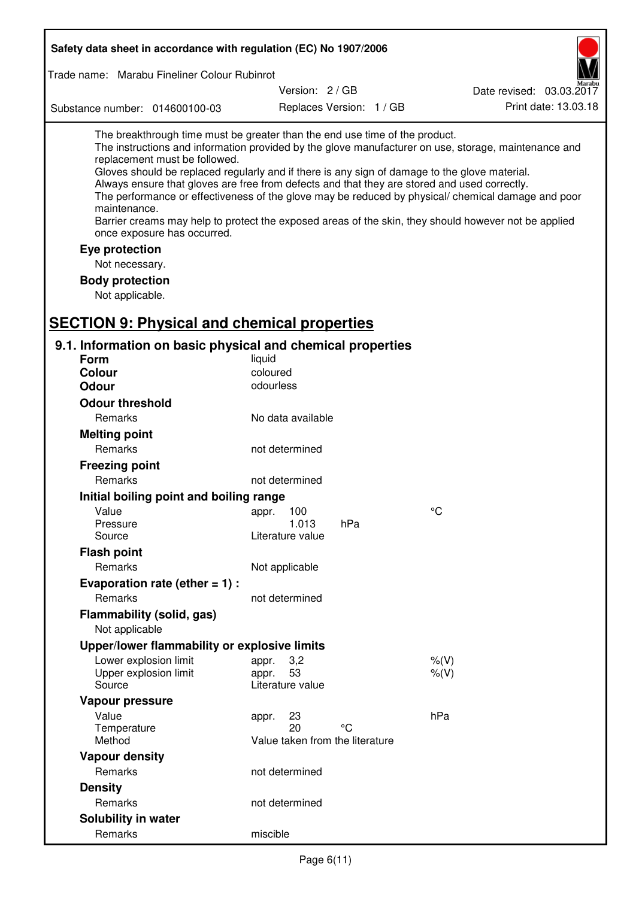| Safety data sheet in accordance with regulation (EC) No 1907/2006                                                                                                                                                                                                                                                                                            |                                                 |                          |                                                                                                                                                                                                                                                                                                                    |  |
|--------------------------------------------------------------------------------------------------------------------------------------------------------------------------------------------------------------------------------------------------------------------------------------------------------------------------------------------------------------|-------------------------------------------------|--------------------------|--------------------------------------------------------------------------------------------------------------------------------------------------------------------------------------------------------------------------------------------------------------------------------------------------------------------|--|
| Trade name: Marabu Fineliner Colour Rubinrot                                                                                                                                                                                                                                                                                                                 |                                                 |                          |                                                                                                                                                                                                                                                                                                                    |  |
|                                                                                                                                                                                                                                                                                                                                                              | Version: 2 / GB                                 |                          | Date revised: 03.03.2017                                                                                                                                                                                                                                                                                           |  |
| Substance number: 014600100-03                                                                                                                                                                                                                                                                                                                               |                                                 | Replaces Version: 1 / GB | Print date: 13.03.18                                                                                                                                                                                                                                                                                               |  |
| The breakthrough time must be greater than the end use time of the product.<br>replacement must be followed.<br>Gloves should be replaced regularly and if there is any sign of damage to the glove material.<br>Always ensure that gloves are free from defects and that they are stored and used correctly.<br>maintenance.<br>once exposure has occurred. |                                                 |                          | The instructions and information provided by the glove manufacturer on use, storage, maintenance and<br>The performance or effectiveness of the glove may be reduced by physical/ chemical damage and poor<br>Barrier creams may help to protect the exposed areas of the skin, they should however not be applied |  |
| Eye protection                                                                                                                                                                                                                                                                                                                                               |                                                 |                          |                                                                                                                                                                                                                                                                                                                    |  |
| Not necessary.                                                                                                                                                                                                                                                                                                                                               |                                                 |                          |                                                                                                                                                                                                                                                                                                                    |  |
| <b>Body protection</b><br>Not applicable.                                                                                                                                                                                                                                                                                                                    |                                                 |                          |                                                                                                                                                                                                                                                                                                                    |  |
| <b>SECTION 9: Physical and chemical properties</b>                                                                                                                                                                                                                                                                                                           |                                                 |                          |                                                                                                                                                                                                                                                                                                                    |  |
| 9.1. Information on basic physical and chemical properties                                                                                                                                                                                                                                                                                                   |                                                 |                          |                                                                                                                                                                                                                                                                                                                    |  |
| <b>Form</b>                                                                                                                                                                                                                                                                                                                                                  | liquid                                          |                          |                                                                                                                                                                                                                                                                                                                    |  |
| <b>Colour</b>                                                                                                                                                                                                                                                                                                                                                | coloured                                        |                          |                                                                                                                                                                                                                                                                                                                    |  |
| <b>Odour</b>                                                                                                                                                                                                                                                                                                                                                 | odourless                                       |                          |                                                                                                                                                                                                                                                                                                                    |  |
| <b>Odour threshold</b>                                                                                                                                                                                                                                                                                                                                       |                                                 |                          |                                                                                                                                                                                                                                                                                                                    |  |
| Remarks                                                                                                                                                                                                                                                                                                                                                      | No data available                               |                          |                                                                                                                                                                                                                                                                                                                    |  |
| <b>Melting point</b>                                                                                                                                                                                                                                                                                                                                         |                                                 |                          |                                                                                                                                                                                                                                                                                                                    |  |
| Remarks                                                                                                                                                                                                                                                                                                                                                      | not determined                                  |                          |                                                                                                                                                                                                                                                                                                                    |  |
| <b>Freezing point</b>                                                                                                                                                                                                                                                                                                                                        |                                                 |                          |                                                                                                                                                                                                                                                                                                                    |  |
| Remarks                                                                                                                                                                                                                                                                                                                                                      | not determined                                  |                          |                                                                                                                                                                                                                                                                                                                    |  |
| Initial boiling point and boiling range                                                                                                                                                                                                                                                                                                                      |                                                 |                          |                                                                                                                                                                                                                                                                                                                    |  |
| Value                                                                                                                                                                                                                                                                                                                                                        | appr. 100                                       |                          | $\rm ^{\circ}C$                                                                                                                                                                                                                                                                                                    |  |
| Pressure                                                                                                                                                                                                                                                                                                                                                     | 1.013                                           | hPa                      |                                                                                                                                                                                                                                                                                                                    |  |
| Source                                                                                                                                                                                                                                                                                                                                                       | Literature value                                |                          |                                                                                                                                                                                                                                                                                                                    |  |
| <b>Flash point</b>                                                                                                                                                                                                                                                                                                                                           |                                                 |                          |                                                                                                                                                                                                                                                                                                                    |  |
| Remarks                                                                                                                                                                                                                                                                                                                                                      | Not applicable                                  |                          |                                                                                                                                                                                                                                                                                                                    |  |
| Evaporation rate (ether $= 1$ ) :                                                                                                                                                                                                                                                                                                                            |                                                 |                          |                                                                                                                                                                                                                                                                                                                    |  |
| Remarks                                                                                                                                                                                                                                                                                                                                                      | not determined                                  |                          |                                                                                                                                                                                                                                                                                                                    |  |
| <b>Flammability (solid, gas)</b><br>Not applicable                                                                                                                                                                                                                                                                                                           |                                                 |                          |                                                                                                                                                                                                                                                                                                                    |  |
| Upper/lower flammability or explosive limits                                                                                                                                                                                                                                                                                                                 |                                                 |                          |                                                                                                                                                                                                                                                                                                                    |  |
| Lower explosion limit<br>Upper explosion limit<br>Source                                                                                                                                                                                                                                                                                                     | 3,2<br>appr.<br>53<br>appr.<br>Literature value |                          | $%$ (V)<br>% (V)                                                                                                                                                                                                                                                                                                   |  |
| Vapour pressure                                                                                                                                                                                                                                                                                                                                              |                                                 |                          |                                                                                                                                                                                                                                                                                                                    |  |
| Value                                                                                                                                                                                                                                                                                                                                                        | 23<br>appr.                                     |                          | hPa                                                                                                                                                                                                                                                                                                                |  |
| Temperature<br>Method                                                                                                                                                                                                                                                                                                                                        | 20<br>Value taken from the literature           | °۲                       |                                                                                                                                                                                                                                                                                                                    |  |
| <b>Vapour density</b>                                                                                                                                                                                                                                                                                                                                        |                                                 |                          |                                                                                                                                                                                                                                                                                                                    |  |
| Remarks                                                                                                                                                                                                                                                                                                                                                      | not determined                                  |                          |                                                                                                                                                                                                                                                                                                                    |  |
| <b>Density</b>                                                                                                                                                                                                                                                                                                                                               |                                                 |                          |                                                                                                                                                                                                                                                                                                                    |  |
| Remarks                                                                                                                                                                                                                                                                                                                                                      | not determined                                  |                          |                                                                                                                                                                                                                                                                                                                    |  |
| Solubility in water                                                                                                                                                                                                                                                                                                                                          |                                                 |                          |                                                                                                                                                                                                                                                                                                                    |  |
| Remarks                                                                                                                                                                                                                                                                                                                                                      | miscible                                        |                          |                                                                                                                                                                                                                                                                                                                    |  |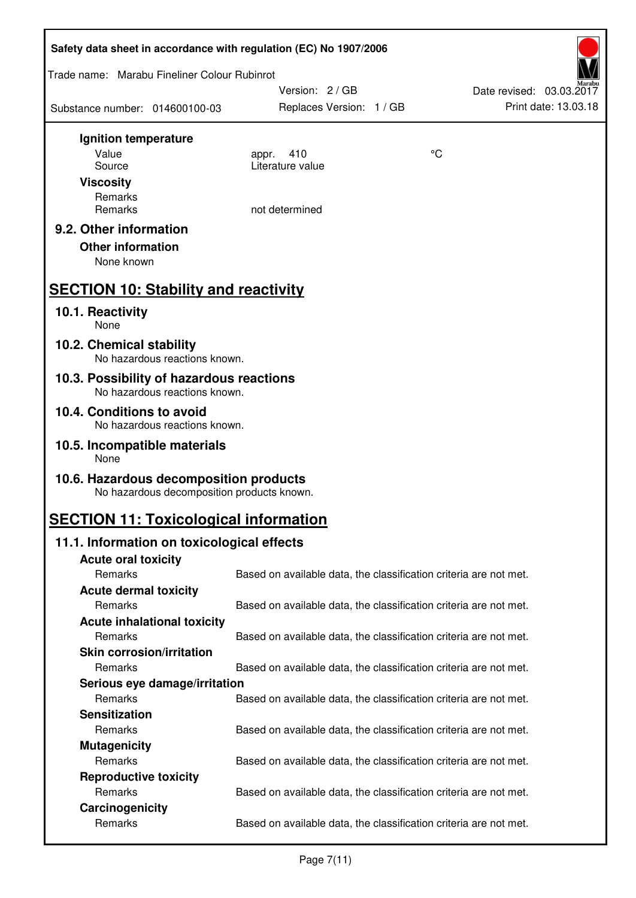| Safety data sheet in accordance with regulation (EC) No 1907/2006                    |                                                                   |    |                          |  |
|--------------------------------------------------------------------------------------|-------------------------------------------------------------------|----|--------------------------|--|
| Trade name: Marabu Fineliner Colour Rubinrot                                         |                                                                   |    |                          |  |
|                                                                                      | Version: 2/GB                                                     |    | Date revised: 03.03.2017 |  |
| Substance number: 014600100-03                                                       | Replaces Version: 1 / GB                                          |    | Print date: 13.03.18     |  |
| Ignition temperature                                                                 |                                                                   |    |                          |  |
| Value                                                                                | 410<br>appr.                                                      | °C |                          |  |
| Source                                                                               | Literature value                                                  |    |                          |  |
| <b>Viscosity</b>                                                                     |                                                                   |    |                          |  |
| Remarks                                                                              |                                                                   |    |                          |  |
| Remarks                                                                              | not determined                                                    |    |                          |  |
| 9.2. Other information                                                               |                                                                   |    |                          |  |
| <b>Other information</b>                                                             |                                                                   |    |                          |  |
| None known                                                                           |                                                                   |    |                          |  |
| <b>SECTION 10: Stability and reactivity</b>                                          |                                                                   |    |                          |  |
| 10.1. Reactivity<br>None                                                             |                                                                   |    |                          |  |
| 10.2. Chemical stability<br>No hazardous reactions known.                            |                                                                   |    |                          |  |
| 10.3. Possibility of hazardous reactions                                             |                                                                   |    |                          |  |
| No hazardous reactions known.<br>10.4. Conditions to avoid                           |                                                                   |    |                          |  |
| No hazardous reactions known.                                                        |                                                                   |    |                          |  |
| 10.5. Incompatible materials<br>None                                                 |                                                                   |    |                          |  |
| 10.6. Hazardous decomposition products<br>No hazardous decomposition products known. |                                                                   |    |                          |  |
| <b>SECTION 11: Toxicological information</b>                                         |                                                                   |    |                          |  |
| 11.1. Information on toxicological effects                                           |                                                                   |    |                          |  |
| <b>Acute oral toxicity</b>                                                           |                                                                   |    |                          |  |
| Remarks                                                                              | Based on available data, the classification criteria are not met. |    |                          |  |
| <b>Acute dermal toxicity</b>                                                         |                                                                   |    |                          |  |
| Remarks                                                                              | Based on available data, the classification criteria are not met. |    |                          |  |
| <b>Acute inhalational toxicity</b>                                                   |                                                                   |    |                          |  |
| Remarks                                                                              | Based on available data, the classification criteria are not met. |    |                          |  |
| <b>Skin corrosion/irritation</b>                                                     |                                                                   |    |                          |  |
| Remarks                                                                              | Based on available data, the classification criteria are not met. |    |                          |  |
| Serious eye damage/irritation<br>Remarks                                             | Based on available data, the classification criteria are not met. |    |                          |  |
| <b>Sensitization</b>                                                                 |                                                                   |    |                          |  |
| Remarks                                                                              | Based on available data, the classification criteria are not met. |    |                          |  |
| <b>Mutagenicity</b>                                                                  |                                                                   |    |                          |  |
| Remarks                                                                              | Based on available data, the classification criteria are not met. |    |                          |  |
| <b>Reproductive toxicity</b>                                                         |                                                                   |    |                          |  |
| Remarks                                                                              | Based on available data, the classification criteria are not met. |    |                          |  |
| Carcinogenicity                                                                      |                                                                   |    |                          |  |
| Remarks                                                                              | Based on available data, the classification criteria are not met. |    |                          |  |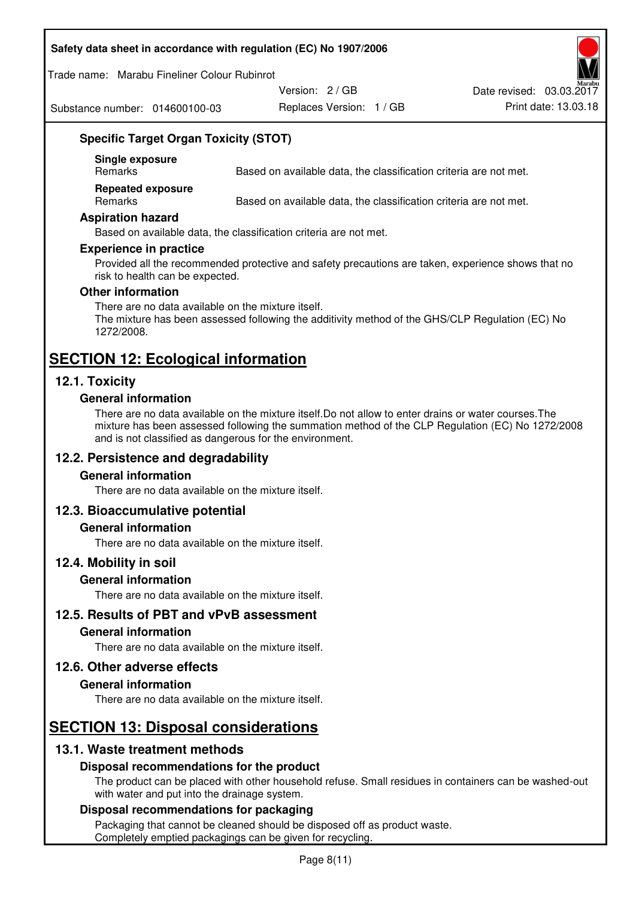#### **Safety data sheet in accordance with regulation (EC) No 1907/2006**

Trade name: Marabu Fineliner Colour Rubinrot

Substance number: 014600100-03

Version: 2 / GB

Replaces Version: 1 / GB Print date: 13.03.18 Date revised: 03.03.2017

# **Specific Target Organ Toxicity (STOT)**

**Single exposure** 

Based on available data, the classification criteria are not met.

**Repeated exposure** 

Remarks Based on available data, the classification criteria are not met.

#### **Aspiration hazard**

Based on available data, the classification criteria are not met.

#### **Experience in practice**

Provided all the recommended protective and safety precautions are taken, experience shows that no risk to health can be expected.

#### **Other information**

There are no data available on the mixture itself. The mixture has been assessed following the additivity method of the GHS/CLP Regulation (EC) No 1272/2008.

# **SECTION 12: Ecological information**

# **12.1. Toxicity**

### **General information**

There are no data available on the mixture itself.Do not allow to enter drains or water courses.The mixture has been assessed following the summation method of the CLP Regulation (EC) No 1272/2008 and is not classified as dangerous for the environment.

# **12.2. Persistence and degradability**

#### **General information**

There are no data available on the mixture itself.

# **12.3. Bioaccumulative potential**

#### **General information**

There are no data available on the mixture itself.

#### **12.4. Mobility in soil**

#### **General information**

There are no data available on the mixture itself.

**12.5. Results of PBT and vPvB assessment** 

#### **General information**

There are no data available on the mixture itself.

#### **12.6. Other adverse effects**

#### **General information**

There are no data available on the mixture itself.

# **SECTION 13: Disposal considerations**

# **13.1. Waste treatment methods**

# **Disposal recommendations for the product**

The product can be placed with other household refuse. Small residues in containers can be washed-out with water and put into the drainage system.

#### **Disposal recommendations for packaging**

Packaging that cannot be cleaned should be disposed off as product waste. Completely emptied packagings can be given for recycling.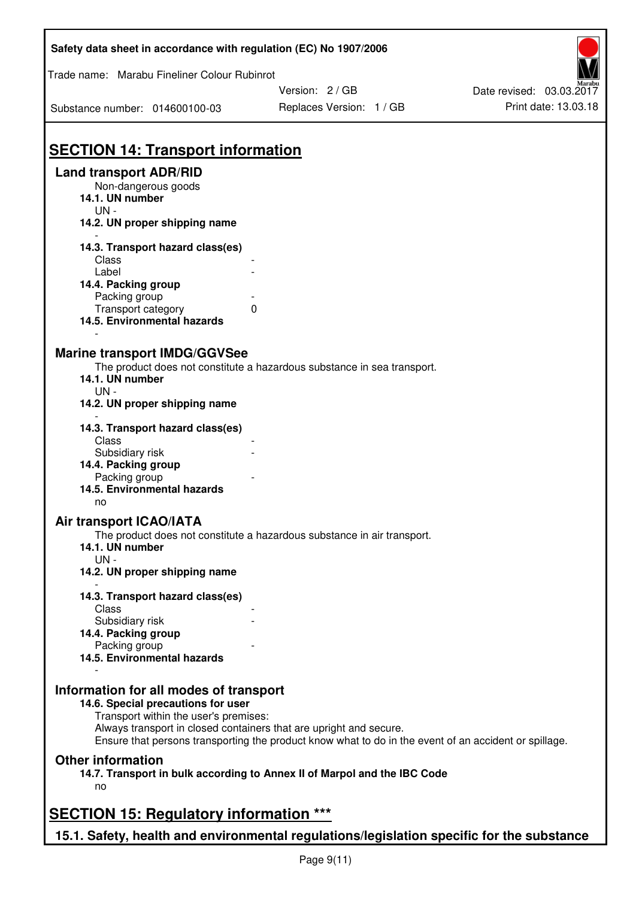| Safety data sheet in accordance with regulation (EC) No 1907/2006                                                                                                                           |                                                                                                       |                          |
|---------------------------------------------------------------------------------------------------------------------------------------------------------------------------------------------|-------------------------------------------------------------------------------------------------------|--------------------------|
| Trade name: Marabu Fineliner Colour Rubinrot                                                                                                                                                |                                                                                                       |                          |
|                                                                                                                                                                                             | Version: 2 / GB                                                                                       | Date revised: 03.03.2017 |
| Substance number: 014600100-03                                                                                                                                                              | Replaces Version: 1 / GB                                                                              | Print date: 13.03.18     |
| <b>SECTION 14: Transport information</b>                                                                                                                                                    |                                                                                                       |                          |
| <b>Land transport ADR/RID</b><br>Non-dangerous goods<br>14.1. UN number<br>UN-<br>14.2. UN proper shipping name                                                                             |                                                                                                       |                          |
| 14.3. Transport hazard class(es)<br>Class<br>Label<br>14.4. Packing group                                                                                                                   |                                                                                                       |                          |
| Packing group<br>Transport category<br>$\Omega$<br>14.5. Environmental hazards                                                                                                              |                                                                                                       |                          |
| <b>Marine transport IMDG/GGVSee</b><br>14.1. UN number<br>$UN -$<br>14.2. UN proper shipping name                                                                                           | The product does not constitute a hazardous substance in sea transport.                               |                          |
| 14.3. Transport hazard class(es)<br>Class<br>Subsidiary risk<br>14.4. Packing group<br>Packing group<br>14.5. Environmental hazards                                                         |                                                                                                       |                          |
| no<br>Air transport ICAO/IATA<br>The product does not constitute a hazardous substance in air transport.<br>14.1. UN number<br>$UN -$<br>14.2. UN proper shipping name                      |                                                                                                       |                          |
| 14.3. Transport hazard class(es)<br>Class<br>Subsidiary risk<br>14.4. Packing group                                                                                                         |                                                                                                       |                          |
| Packing group<br>14.5. Environmental hazards                                                                                                                                                |                                                                                                       |                          |
| Information for all modes of transport<br>14.6. Special precautions for user<br>Transport within the user's premises:<br>Always transport in closed containers that are upright and secure. | Ensure that persons transporting the product know what to do in the event of an accident or spillage. |                          |
| <b>Other information</b><br>14.7. Transport in bulk according to Annex II of Marpol and the IBC Code<br>no                                                                                  |                                                                                                       |                          |
| <b>SECTION 15: Regulatory information ***</b>                                                                                                                                               |                                                                                                       |                          |
| 15.1. Safety, health and environmental regulations/legislation specific for the substance                                                                                                   |                                                                                                       |                          |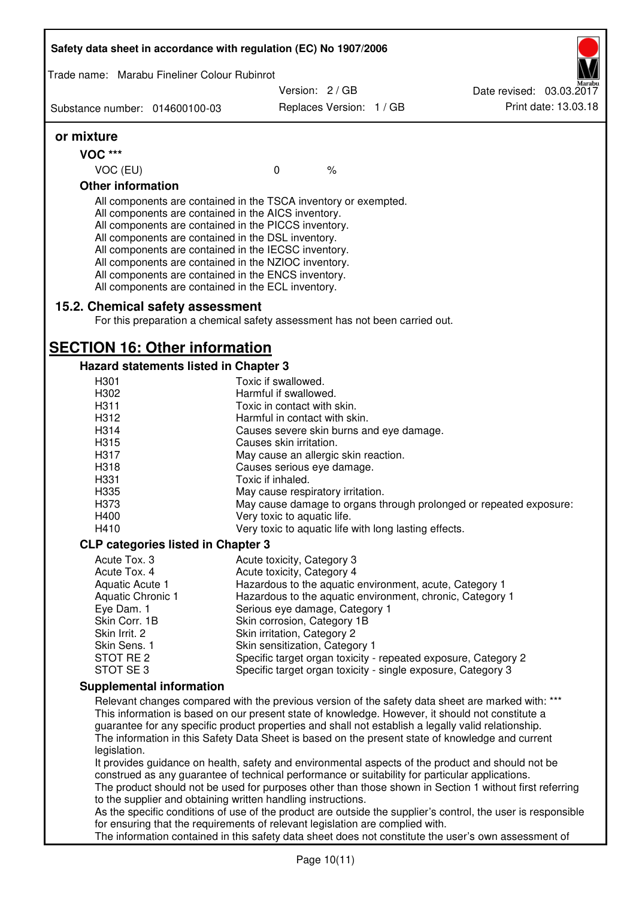| Safety data sheet in accordance with regulation (EC) No 1907/2006 |                                                                                                                                                                                                                                                                                                                                                                                                                                                                   |                          |  |                                                                                                                                                                                                         |
|-------------------------------------------------------------------|-------------------------------------------------------------------------------------------------------------------------------------------------------------------------------------------------------------------------------------------------------------------------------------------------------------------------------------------------------------------------------------------------------------------------------------------------------------------|--------------------------|--|---------------------------------------------------------------------------------------------------------------------------------------------------------------------------------------------------------|
| Trade name: Marabu Fineliner Colour Rubinrot                      |                                                                                                                                                                                                                                                                                                                                                                                                                                                                   |                          |  |                                                                                                                                                                                                         |
|                                                                   |                                                                                                                                                                                                                                                                                                                                                                                                                                                                   | Version: 2 / GB          |  | Date revised: 03.03.2017                                                                                                                                                                                |
| Substance number: 014600100-03                                    |                                                                                                                                                                                                                                                                                                                                                                                                                                                                   | Replaces Version: 1 / GB |  | Print date: 13.03.18                                                                                                                                                                                    |
| or mixture                                                        |                                                                                                                                                                                                                                                                                                                                                                                                                                                                   |                          |  |                                                                                                                                                                                                         |
| VOC ***                                                           |                                                                                                                                                                                                                                                                                                                                                                                                                                                                   |                          |  |                                                                                                                                                                                                         |
| VOC (EU)                                                          | $\mathbf 0$                                                                                                                                                                                                                                                                                                                                                                                                                                                       | $\%$                     |  |                                                                                                                                                                                                         |
| <b>Other information</b>                                          |                                                                                                                                                                                                                                                                                                                                                                                                                                                                   |                          |  |                                                                                                                                                                                                         |
|                                                                   | All components are contained in the TSCA inventory or exempted.<br>All components are contained in the AICS inventory.<br>All components are contained in the PICCS inventory.<br>All components are contained in the DSL inventory.<br>All components are contained in the IECSC inventory.<br>All components are contained in the NZIOC inventory.<br>All components are contained in the ENCS inventory.<br>All components are contained in the ECL inventory. |                          |  |                                                                                                                                                                                                         |
| 15.2. Chemical safety assessment                                  | For this preparation a chemical safety assessment has not been carried out.                                                                                                                                                                                                                                                                                                                                                                                       |                          |  |                                                                                                                                                                                                         |
| <b>SECTION 16: Other information</b>                              |                                                                                                                                                                                                                                                                                                                                                                                                                                                                   |                          |  |                                                                                                                                                                                                         |
| <b>Hazard statements listed in Chapter 3</b>                      |                                                                                                                                                                                                                                                                                                                                                                                                                                                                   |                          |  |                                                                                                                                                                                                         |
| H <sub>301</sub>                                                  | Toxic if swallowed.                                                                                                                                                                                                                                                                                                                                                                                                                                               |                          |  |                                                                                                                                                                                                         |
| H302                                                              | Harmful if swallowed.                                                                                                                                                                                                                                                                                                                                                                                                                                             |                          |  |                                                                                                                                                                                                         |
| H311                                                              | Toxic in contact with skin.                                                                                                                                                                                                                                                                                                                                                                                                                                       |                          |  |                                                                                                                                                                                                         |
| H312                                                              | Harmful in contact with skin.                                                                                                                                                                                                                                                                                                                                                                                                                                     |                          |  |                                                                                                                                                                                                         |
| H314                                                              | Causes severe skin burns and eye damage.                                                                                                                                                                                                                                                                                                                                                                                                                          |                          |  |                                                                                                                                                                                                         |
| H315                                                              | Causes skin irritation.                                                                                                                                                                                                                                                                                                                                                                                                                                           |                          |  |                                                                                                                                                                                                         |
| H317                                                              | May cause an allergic skin reaction.                                                                                                                                                                                                                                                                                                                                                                                                                              |                          |  |                                                                                                                                                                                                         |
| H318                                                              | Causes serious eye damage.                                                                                                                                                                                                                                                                                                                                                                                                                                        |                          |  |                                                                                                                                                                                                         |
| H331                                                              | Toxic if inhaled.                                                                                                                                                                                                                                                                                                                                                                                                                                                 |                          |  |                                                                                                                                                                                                         |
| H335                                                              | May cause respiratory irritation.                                                                                                                                                                                                                                                                                                                                                                                                                                 |                          |  |                                                                                                                                                                                                         |
| H373                                                              |                                                                                                                                                                                                                                                                                                                                                                                                                                                                   |                          |  | May cause damage to organs through prolonged or repeated exposure:                                                                                                                                      |
| H400                                                              | Very toxic to aquatic life.                                                                                                                                                                                                                                                                                                                                                                                                                                       |                          |  |                                                                                                                                                                                                         |
| H410                                                              | Very toxic to aquatic life with long lasting effects.                                                                                                                                                                                                                                                                                                                                                                                                             |                          |  |                                                                                                                                                                                                         |
| <b>CLP categories listed in Chapter 3</b>                         |                                                                                                                                                                                                                                                                                                                                                                                                                                                                   |                          |  |                                                                                                                                                                                                         |
| Acute Tox. 3                                                      | Acute toxicity, Category 3                                                                                                                                                                                                                                                                                                                                                                                                                                        |                          |  |                                                                                                                                                                                                         |
| Acute Tox. 4                                                      | Acute toxicity, Category 4                                                                                                                                                                                                                                                                                                                                                                                                                                        |                          |  |                                                                                                                                                                                                         |
| Aquatic Acute 1                                                   | Hazardous to the aquatic environment, acute, Category 1                                                                                                                                                                                                                                                                                                                                                                                                           |                          |  |                                                                                                                                                                                                         |
| <b>Aquatic Chronic 1</b>                                          |                                                                                                                                                                                                                                                                                                                                                                                                                                                                   |                          |  | Hazardous to the aquatic environment, chronic, Category 1                                                                                                                                               |
| Eye Dam. 1                                                        | Serious eye damage, Category 1                                                                                                                                                                                                                                                                                                                                                                                                                                    |                          |  |                                                                                                                                                                                                         |
| Skin Corr. 1B                                                     | Skin corrosion, Category 1B                                                                                                                                                                                                                                                                                                                                                                                                                                       |                          |  |                                                                                                                                                                                                         |
| Skin Irrit. 2                                                     | Skin irritation, Category 2                                                                                                                                                                                                                                                                                                                                                                                                                                       |                          |  |                                                                                                                                                                                                         |
| Skin Sens. 1<br>STOT RE 2                                         | Skin sensitization, Category 1                                                                                                                                                                                                                                                                                                                                                                                                                                    |                          |  | Specific target organ toxicity - repeated exposure, Category 2                                                                                                                                          |
| STOT SE3                                                          |                                                                                                                                                                                                                                                                                                                                                                                                                                                                   |                          |  | Specific target organ toxicity - single exposure, Category 3                                                                                                                                            |
|                                                                   |                                                                                                                                                                                                                                                                                                                                                                                                                                                                   |                          |  |                                                                                                                                                                                                         |
| <b>Supplemental information</b>                                   |                                                                                                                                                                                                                                                                                                                                                                                                                                                                   |                          |  |                                                                                                                                                                                                         |
|                                                                   |                                                                                                                                                                                                                                                                                                                                                                                                                                                                   |                          |  | Relevant changes compared with the previous version of the safety data sheet are marked with: ***                                                                                                       |
|                                                                   |                                                                                                                                                                                                                                                                                                                                                                                                                                                                   |                          |  | This information is based on our present state of knowledge. However, it should not constitute a<br>guarantee for any specific product properties and shall not establish a legally valid relationship. |
|                                                                   |                                                                                                                                                                                                                                                                                                                                                                                                                                                                   |                          |  | The information in this Safety Data Sheet is based on the present state of knowledge and current                                                                                                        |
| legislation.                                                      |                                                                                                                                                                                                                                                                                                                                                                                                                                                                   |                          |  | It provides guidance on health, safety and environmental aspects of the product and should not be                                                                                                       |
|                                                                   | construed as any guarantee of technical performance or suitability for particular applications.                                                                                                                                                                                                                                                                                                                                                                   |                          |  |                                                                                                                                                                                                         |
|                                                                   |                                                                                                                                                                                                                                                                                                                                                                                                                                                                   |                          |  | The product should not be used for purposes other than those shown in Section 1 without first referring                                                                                                 |
|                                                                   | to the supplier and obtaining written handling instructions.                                                                                                                                                                                                                                                                                                                                                                                                      |                          |  |                                                                                                                                                                                                         |
|                                                                   |                                                                                                                                                                                                                                                                                                                                                                                                                                                                   |                          |  | As the specific conditions of use of the product are outside the supplier's control, the user is responsible                                                                                            |
|                                                                   | for ensuring that the requirements of relevant legislation are complied with.                                                                                                                                                                                                                                                                                                                                                                                     |                          |  |                                                                                                                                                                                                         |
|                                                                   |                                                                                                                                                                                                                                                                                                                                                                                                                                                                   |                          |  | The information contained in this safety data sheet does not constitute the user's own assessment of                                                                                                    |